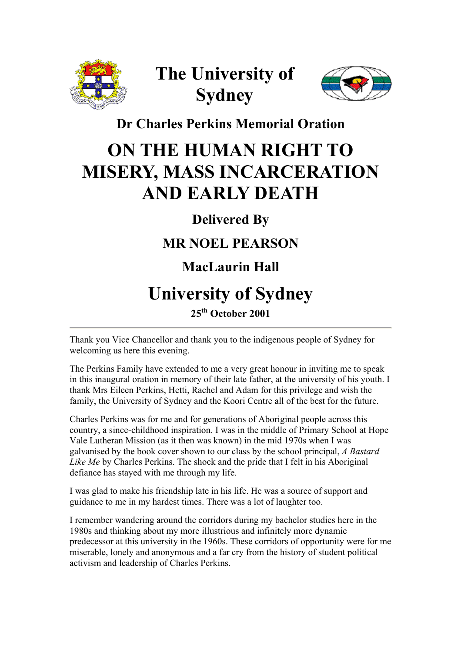

# **The University of Sydney**



#### **Dr Charles Perkins Memorial Oration**

## **ON THE HUMAN RIGHT TO MISERY, MASS INCARCERATION AND EARLY DEATH**

### **Delivered By**

### **MR NOEL PEARSON**

### **MacLaurin Hall**

## **University of Sydney**

#### **25th October 2001**

Thank you Vice Chancellor and thank you to the indigenous people of Sydney for welcoming us here this evening.

The Perkins Family have extended to me a very great honour in inviting me to speak in this inaugural oration in memory of their late father, at the university of his youth. I thank Mrs Eileen Perkins, Hetti, Rachel and Adam for this privilege and wish the family, the University of Sydney and the Koori Centre all of the best for the future.

Charles Perkins was for me and for generations of Aboriginal people across this country, a since-childhood inspiration. I was in the middle of Primary School at Hope Vale Lutheran Mission (as it then was known) in the mid 1970s when I was galvanised by the book cover shown to our class by the school principal, *A Bastard Like Me* by Charles Perkins. The shock and the pride that I felt in his Aboriginal defiance has stayed with me through my life.

I was glad to make his friendship late in his life. He was a source of support and guidance to me in my hardest times. There was a lot of laughter too.

I remember wandering around the corridors during my bachelor studies here in the 1980s and thinking about my more illustrious and infinitely more dynamic predecessor at this university in the 1960s. These corridors of opportunity were for me miserable, lonely and anonymous and a far cry from the history of student political activism and leadership of Charles Perkins.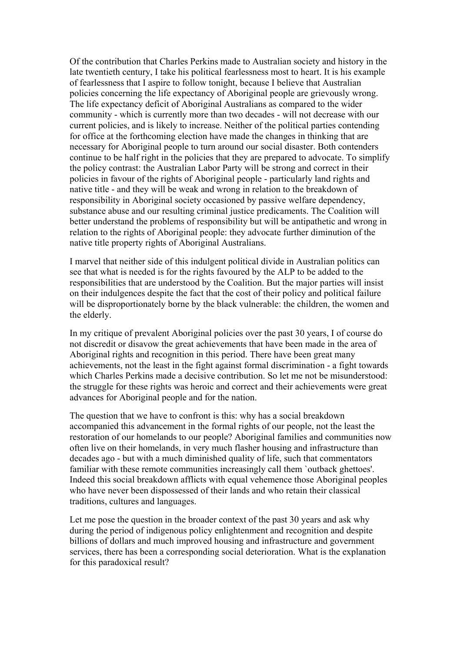Of the contribution that Charles Perkins made to Australian society and history in the late twentieth century, I take his political fearlessness most to heart. It is his example of fearlessness that I aspire to follow tonight, because I believe that Australian policies concerning the life expectancy of Aboriginal people are grievously wrong. The life expectancy deficit of Aboriginal Australians as compared to the wider community - which is currently more than two decades - will not decrease with our current policies, and is likely to increase. Neither of the political parties contending for office at the forthcoming election have made the changes in thinking that are necessary for Aboriginal people to turn around our social disaster. Both contenders continue to be half right in the policies that they are prepared to advocate. To simplify the policy contrast: the Australian Labor Party will be strong and correct in their policies in favour of the rights of Aboriginal people - particularly land rights and native title - and they will be weak and wrong in relation to the breakdown of responsibility in Aboriginal society occasioned by passive welfare dependency, substance abuse and our resulting criminal justice predicaments. The Coalition will better understand the problems of responsibility but will be antipathetic and wrong in relation to the rights of Aboriginal people: they advocate further diminution of the native title property rights of Aboriginal Australians.

I marvel that neither side of this indulgent political divide in Australian politics can see that what is needed is for the rights favoured by the ALP to be added to the responsibilities that are understood by the Coalition. But the major parties will insist on their indulgences despite the fact that the cost of their policy and political failure will be disproportionately borne by the black vulnerable: the children, the women and the elderly.

In my critique of prevalent Aboriginal policies over the past 30 years, I of course do not discredit or disavow the great achievements that have been made in the area of Aboriginal rights and recognition in this period. There have been great many achievements, not the least in the fight against formal discrimination - a fight towards which Charles Perkins made a decisive contribution. So let me not be misunderstood: the struggle for these rights was heroic and correct and their achievements were great advances for Aboriginal people and for the nation.

The question that we have to confront is this: why has a social breakdown accompanied this advancement in the formal rights of our people, not the least the restoration of our homelands to our people? Aboriginal families and communities now often live on their homelands, in very much flasher housing and infrastructure than decades ago - but with a much diminished quality of life, such that commentators familiar with these remote communities increasingly call them `outback ghettoes'. Indeed this social breakdown afflicts with equal vehemence those Aboriginal peoples who have never been dispossessed of their lands and who retain their classical traditions, cultures and languages.

Let me pose the question in the broader context of the past 30 years and ask why during the period of indigenous policy enlightenment and recognition and despite billions of dollars and much improved housing and infrastructure and government services, there has been a corresponding social deterioration. What is the explanation for this paradoxical result?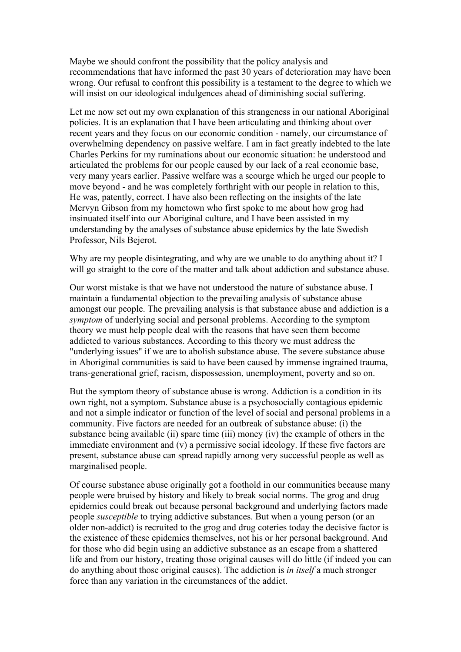Maybe we should confront the possibility that the policy analysis and recommendations that have informed the past 30 years of deterioration may have been wrong. Our refusal to confront this possibility is a testament to the degree to which we will insist on our ideological indulgences ahead of diminishing social suffering.

Let me now set out my own explanation of this strangeness in our national Aboriginal policies. It is an explanation that I have been articulating and thinking about over recent years and they focus on our economic condition - namely, our circumstance of overwhelming dependency on passive welfare. I am in fact greatly indebted to the late Charles Perkins for my ruminations about our economic situation: he understood and articulated the problems for our people caused by our lack of a real economic base, very many years earlier. Passive welfare was a scourge which he urged our people to move beyond - and he was completely forthright with our people in relation to this, He was, patently, correct. I have also been reflecting on the insights of the late Mervyn Gibson from my hometown who first spoke to me about how grog had insinuated itself into our Aboriginal culture, and I have been assisted in my understanding by the analyses of substance abuse epidemics by the late Swedish Professor, Nils Bejerot.

Why are my people disintegrating, and why are we unable to do anything about it? I will go straight to the core of the matter and talk about addiction and substance abuse.

Our worst mistake is that we have not understood the nature of substance abuse. I maintain a fundamental objection to the prevailing analysis of substance abuse amongst our people. The prevailing analysis is that substance abuse and addiction is a *symptom* of underlying social and personal problems. According to the symptom theory we must help people deal with the reasons that have seen them become addicted to various substances. According to this theory we must address the "underlying issues" if we are to abolish substance abuse. The severe substance abuse in Aboriginal communities is said to have been caused by immense ingrained trauma, trans-generational grief, racism, dispossession, unemployment, poverty and so on.

But the symptom theory of substance abuse is wrong. Addiction is a condition in its own right, not a symptom. Substance abuse is a psychosocially contagious epidemic and not a simple indicator or function of the level of social and personal problems in a community. Five factors are needed for an outbreak of substance abuse: (i) the substance being available (ii) spare time (iii) money (iv) the example of others in the immediate environment and (v) a permissive social ideology. If these five factors are present, substance abuse can spread rapidly among very successful people as well as marginalised people.

Of course substance abuse originally got a foothold in our communities because many people were bruised by history and likely to break social norms. The grog and drug epidemics could break out because personal background and underlying factors made people *susceptible* to trying addictive substances. But when a young person (or an older non-addict) is recruited to the grog and drug coteries today the decisive factor is the existence of these epidemics themselves, not his or her personal background. And for those who did begin using an addictive substance as an escape from a shattered life and from our history, treating those original causes will do little (if indeed you can do anything about those original causes). The addiction is *in itself* a much stronger force than any variation in the circumstances of the addict.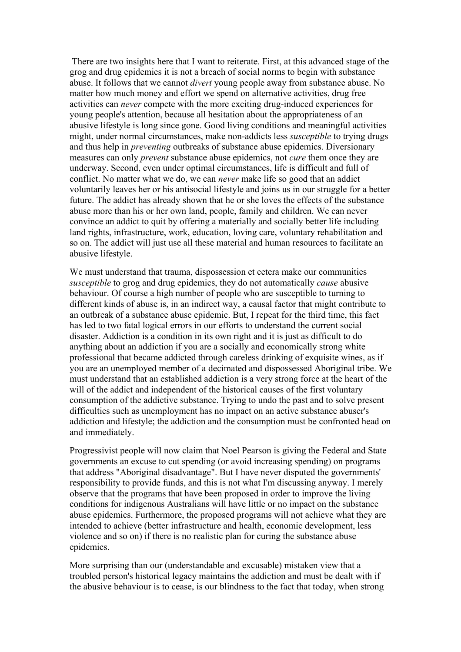There are two insights here that I want to reiterate. First, at this advanced stage of the grog and drug epidemics it is not a breach of social norms to begin with substance abuse. It follows that we cannot *divert* young people away from substance abuse. No matter how much money and effort we spend on alternative activities, drug free activities can *never* compete with the more exciting drug-induced experiences for young people's attention, because all hesitation about the appropriateness of an abusive lifestyle is long since gone. Good living conditions and meaningful activities might, under normal circumstances, make non-addicts less *susceptible* to trying drugs and thus help in *preventing* outbreaks of substance abuse epidemics. Diversionary measures can only *prevent* substance abuse epidemics, not *cure* them once they are underway. Second, even under optimal circumstances, life is difficult and full of conflict. No matter what we do, we can *never* make life so good that an addict voluntarily leaves her or his antisocial lifestyle and joins us in our struggle for a better future. The addict has already shown that he or she loves the effects of the substance abuse more than his or her own land, people, family and children. We can never convince an addict to quit by offering a materially and socially better life including land rights, infrastructure, work, education, loving care, voluntary rehabilitation and so on. The addict will just use all these material and human resources to facilitate an abusive lifestyle.

We must understand that trauma, dispossession et cetera make our communities *susceptible* to grog and drug epidemics, they do not automatically *cause* abusive behaviour. Of course a high number of people who are susceptible to turning to different kinds of abuse is, in an indirect way, a causal factor that might contribute to an outbreak of a substance abuse epidemic. But, I repeat for the third time, this fact has led to two fatal logical errors in our efforts to understand the current social disaster. Addiction is a condition in its own right and it is just as difficult to do anything about an addiction if you are a socially and economically strong white professional that became addicted through careless drinking of exquisite wines, as if you are an unemployed member of a decimated and dispossessed Aboriginal tribe. We must understand that an established addiction is a very strong force at the heart of the will of the addict and independent of the historical causes of the first voluntary consumption of the addictive substance. Trying to undo the past and to solve present difficulties such as unemployment has no impact on an active substance abuser's addiction and lifestyle; the addiction and the consumption must be confronted head on and immediately.

Progressivist people will now claim that Noel Pearson is giving the Federal and State governments an excuse to cut spending (or avoid increasing spending) on programs that address "Aboriginal disadvantage". But I have never disputed the governments' responsibility to provide funds, and this is not what I'm discussing anyway. I merely observe that the programs that have been proposed in order to improve the living conditions for indigenous Australians will have little or no impact on the substance abuse epidemics. Furthermore, the proposed programs will not achieve what they are intended to achieve (better infrastructure and health, economic development, less violence and so on) if there is no realistic plan for curing the substance abuse epidemics.

More surprising than our (understandable and excusable) mistaken view that a troubled person's historical legacy maintains the addiction and must be dealt with if the abusive behaviour is to cease, is our blindness to the fact that today, when strong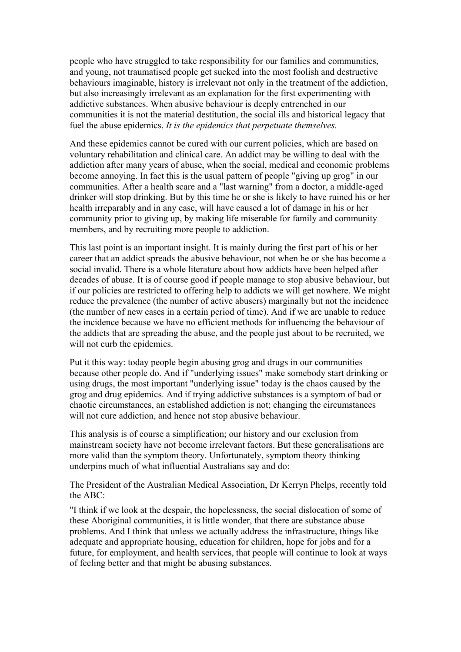people who have struggled to take responsibility for our families and communities, and young, not traumatised people get sucked into the most foolish and destructive behaviours imaginable, history is irrelevant not only in the treatment of the addiction, but also increasingly irrelevant as an explanation for the first experimenting with addictive substances. When abusive behaviour is deeply entrenched in our communities it is not the material destitution, the social ills and historical legacy that fuel the abuse epidemics. *It is the epidemics that perpetuate themselves.*

And these epidemics cannot be cured with our current policies, which are based on voluntary rehabilitation and clinical care. An addict may be willing to deal with the addiction after many years of abuse, when the social, medical and economic problems become annoying. In fact this is the usual pattern of people "giving up grog" in our communities. After a health scare and a "last warning" from a doctor, a middle-aged drinker will stop drinking. But by this time he or she is likely to have ruined his or her health irreparably and in any case, will have caused a lot of damage in his or her community prior to giving up, by making life miserable for family and community members, and by recruiting more people to addiction.

This last point is an important insight. It is mainly during the first part of his or her career that an addict spreads the abusive behaviour, not when he or she has become a social invalid. There is a whole literature about how addicts have been helped after decades of abuse. It is of course good if people manage to stop abusive behaviour, but if our policies are restricted to offering help to addicts we will get nowhere. We might reduce the prevalence (the number of active abusers) marginally but not the incidence (the number of new cases in a certain period of time). And if we are unable to reduce the incidence because we have no efficient methods for influencing the behaviour of the addicts that are spreading the abuse, and the people just about to be recruited, we will not curb the epidemics.

Put it this way: today people begin abusing grog and drugs in our communities because other people do. And if "underlying issues" make somebody start drinking or using drugs, the most important "underlying issue" today is the chaos caused by the grog and drug epidemics. And if trying addictive substances is a symptom of bad or chaotic circumstances, an established addiction is not; changing the circumstances will not cure addiction, and hence not stop abusive behaviour.

This analysis is of course a simplification; our history and our exclusion from mainstream society have not become irrelevant factors. But these generalisations are more valid than the symptom theory. Unfortunately, symptom theory thinking underpins much of what influential Australians say and do:

The President of the Australian Medical Association, Dr Kerryn Phelps, recently told the ABC:

"I think if we look at the despair, the hopelessness, the social dislocation of some of these Aboriginal communities, it is little wonder, that there are substance abuse problems. And I think that unless we actually address the infrastructure, things like adequate and appropriate housing, education for children, hope for jobs and for a future, for employment, and health services, that people will continue to look at ways of feeling better and that might be abusing substances.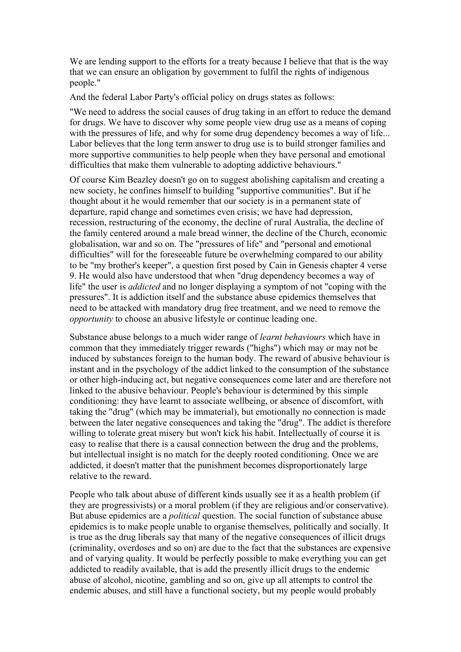We are lending support to the efforts for a treaty because I believe that that is the way that we can ensure an obligation by government to fulfil the rights of indigenous people."

And the federal Labor Party's official policy on drugs states as follows:

"We need to address the social causes of drug taking in an effort to reduce the demand for drugs. We have to discover why some people view drug use as a means of coping with the pressures of life, and why for some drug dependency becomes a way of life... Labor believes that the long term answer to drug use is to build stronger families and more supportive communities to help people when they have personal and emotional difficulties that make them vulnerable to adopting addictive behaviours."

Of course Kim Beazley doesn't go on to suggest abolishing capitalism and creating a new society, he confines himself to building "supportive communities". But if he thought about it he would remember that our society is in a permanent state of departure, rapid change and sometimes even crisis; we have had depression, recession, restructuring of the economy, the decline of rural Australia, the decline of the family centered around a male bread winner, the decline of the Church, economic globalisation, war and so on. The "pressures of life" and "personal and emotional difficulties" will for the foreseeable future be overwhelming compared to our ability to be "my brother's keeper", a question first posed by Cain in Genesis chapter 4 verse 9. He would also have understood that when "drug dependency becomes a way of life" the user is *addicted* and no longer displaying a symptom of not "coping with the pressures". It is addiction itself and the substance abuse epidemics themselves that need to be attacked with mandatory drug free treatment, and we need to remove the *opportunity* to choose an abusive lifestyle or continue leading one.

Substance abuse belongs to a much wider range of *learnt behaviours* which have in common that they immediately trigger rewards ("highs") which may or may not be induced by substances foreign to the human body. The reward of abusive behaviour is instant and in the psychology of the addict linked to the consumption of the substance or other high-inducing act, but negative consequences come later and are therefore not linked to the abusive behaviour. People's behaviour is determined by this simple conditioning: they have learnt to associate wellbeing, or absence of discomfort, with taking the "drug" (which may be immaterial), but emotionally no connection is made between the later negative consequences and taking the "drug". The addict is therefore willing to tolerate great misery but won't kick his habit. Intellectually of course it is easy to realise that there is a causal connection between the drug and the problems, but intellectual insight is no match for the deeply rooted conditioning. Once we are addicted, it doesn't matter that the punishment becomes disproportionately large relative to the reward.

People who talk about abuse of different kinds usually see it as a health problem (if they are progressivists) or a moral problem (if they are religious and/or conservative). But abuse epidemics are a *political* question. The social function of substance abuse epidemics is to make people unable to organise themselves, politically and socially. It is true as the drug liberals say that many of the negative consequences of illicit drugs (criminality, overdoses and so on) are due to the fact that the substances are expensive and of varying quality. It would be perfectly possible to make everything you can get addicted to readily available, that is add the presently illicit drugs to the endemic abuse of alcohol, nicotine, gambling and so on, give up all attempts to control the endemic abuses, and still have a functional society, but my people would probably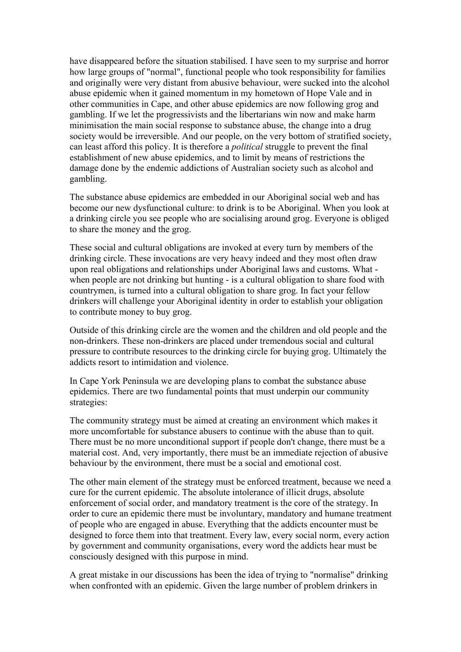have disappeared before the situation stabilised. I have seen to my surprise and horror how large groups of "normal", functional people who took responsibility for families and originally were very distant from abusive behaviour, were sucked into the alcohol abuse epidemic when it gained momentum in my hometown of Hope Vale and in other communities in Cape, and other abuse epidemics are now following grog and gambling. If we let the progressivists and the libertarians win now and make harm minimisation the main social response to substance abuse, the change into a drug society would be irreversible. And our people, on the very bottom of stratified society, can least afford this policy. It is therefore a *political* struggle to prevent the final establishment of new abuse epidemics, and to limit by means of restrictions the damage done by the endemic addictions of Australian society such as alcohol and gambling.

The substance abuse epidemics are embedded in our Aboriginal social web and has become our new dysfunctional culture: to drink is to be Aboriginal. When you look at a drinking circle you see people who are socialising around grog. Everyone is obliged to share the money and the grog.

These social and cultural obligations are invoked at every turn by members of the drinking circle. These invocations are very heavy indeed and they most often draw upon real obligations and relationships under Aboriginal laws and customs. What when people are not drinking but hunting - is a cultural obligation to share food with countrymen, is turned into a cultural obligation to share grog. In fact your fellow drinkers will challenge your Aboriginal identity in order to establish your obligation to contribute money to buy grog.

Outside of this drinking circle are the women and the children and old people and the non-drinkers. These non-drinkers are placed under tremendous social and cultural pressure to contribute resources to the drinking circle for buying grog. Ultimately the addicts resort to intimidation and violence.

In Cape York Peninsula we are developing plans to combat the substance abuse epidemics. There are two fundamental points that must underpin our community strategies:

The community strategy must be aimed at creating an environment which makes it more uncomfortable for substance abusers to continue with the abuse than to quit. There must be no more unconditional support if people don't change, there must be a material cost. And, very importantly, there must be an immediate rejection of abusive behaviour by the environment, there must be a social and emotional cost.

The other main element of the strategy must be enforced treatment, because we need a cure for the current epidemic. The absolute intolerance of illicit drugs, absolute enforcement of social order, and mandatory treatment is the core of the strategy. In order to cure an epidemic there must be involuntary, mandatory and humane treatment of people who are engaged in abuse. Everything that the addicts encounter must be designed to force them into that treatment. Every law, every social norm, every action by government and community organisations, every word the addicts hear must be consciously designed with this purpose in mind.

A great mistake in our discussions has been the idea of trying to "normalise" drinking when confronted with an epidemic. Given the large number of problem drinkers in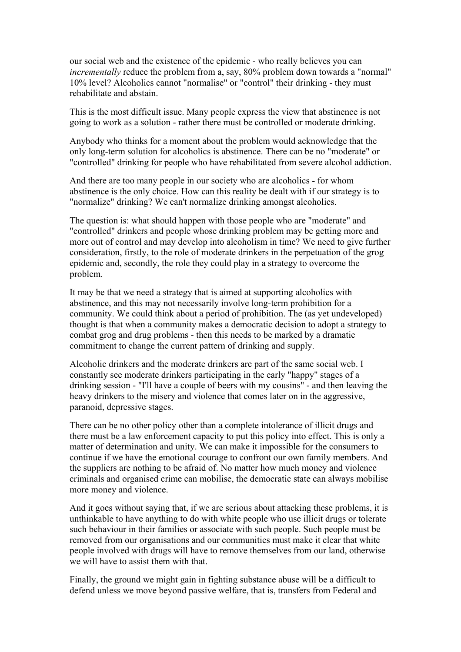our social web and the existence of the epidemic - who really believes you can *incrementally* reduce the problem from a, say, 80% problem down towards a "normal" 10% level? Alcoholics cannot "normalise" or "control" their drinking - they must rehabilitate and abstain.

This is the most difficult issue. Many people express the view that abstinence is not going to work as a solution - rather there must be controlled or moderate drinking.

Anybody who thinks for a moment about the problem would acknowledge that the only long-term solution for alcoholics is abstinence. There can be no "moderate" or "controlled" drinking for people who have rehabilitated from severe alcohol addiction.

And there are too many people in our society who are alcoholics - for whom abstinence is the only choice. How can this reality be dealt with if our strategy is to "normalize" drinking? We can't normalize drinking amongst alcoholics.

The question is: what should happen with those people who are "moderate" and "controlled" drinkers and people whose drinking problem may be getting more and more out of control and may develop into alcoholism in time? We need to give further consideration, firstly, to the role of moderate drinkers in the perpetuation of the grog epidemic and, secondly, the role they could play in a strategy to overcome the problem.

It may be that we need a strategy that is aimed at supporting alcoholics with abstinence, and this may not necessarily involve long-term prohibition for a community. We could think about a period of prohibition. The (as yet undeveloped) thought is that when a community makes a democratic decision to adopt a strategy to combat grog and drug problems - then this needs to be marked by a dramatic commitment to change the current pattern of drinking and supply.

Alcoholic drinkers and the moderate drinkers are part of the same social web. I constantly see moderate drinkers participating in the early "happy" stages of a drinking session - "I'll have a couple of beers with my cousins" - and then leaving the heavy drinkers to the misery and violence that comes later on in the aggressive, paranoid, depressive stages.

There can be no other policy other than a complete intolerance of illicit drugs and there must be a law enforcement capacity to put this policy into effect. This is only a matter of determination and unity. We can make it impossible for the consumers to continue if we have the emotional courage to confront our own family members. And the suppliers are nothing to be afraid of. No matter how much money and violence criminals and organised crime can mobilise, the democratic state can always mobilise more money and violence.

And it goes without saying that, if we are serious about attacking these problems, it is unthinkable to have anything to do with white people who use illicit drugs or tolerate such behaviour in their families or associate with such people. Such people must be removed from our organisations and our communities must make it clear that white people involved with drugs will have to remove themselves from our land, otherwise we will have to assist them with that.

Finally, the ground we might gain in fighting substance abuse will be a difficult to defend unless we move beyond passive welfare, that is, transfers from Federal and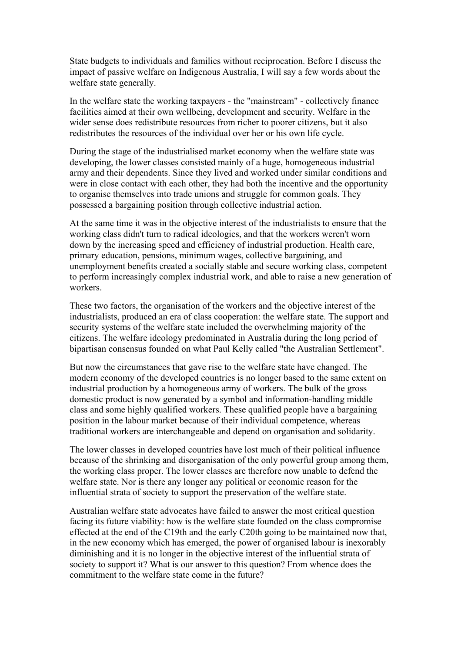State budgets to individuals and families without reciprocation. Before I discuss the impact of passive welfare on Indigenous Australia, I will say a few words about the welfare state generally.

In the welfare state the working taxpayers - the "mainstream" - collectively finance facilities aimed at their own wellbeing, development and security. Welfare in the wider sense does redistribute resources from richer to poorer citizens, but it also redistributes the resources of the individual over her or his own life cycle.

During the stage of the industrialised market economy when the welfare state was developing, the lower classes consisted mainly of a huge, homogeneous industrial army and their dependents. Since they lived and worked under similar conditions and were in close contact with each other, they had both the incentive and the opportunity to organise themselves into trade unions and struggle for common goals. They possessed a bargaining position through collective industrial action.

At the same time it was in the objective interest of the industrialists to ensure that the working class didn't turn to radical ideologies, and that the workers weren't worn down by the increasing speed and efficiency of industrial production. Health care, primary education, pensions, minimum wages, collective bargaining, and unemployment benefits created a socially stable and secure working class, competent to perform increasingly complex industrial work, and able to raise a new generation of workers.

These two factors, the organisation of the workers and the objective interest of the industrialists, produced an era of class cooperation: the welfare state. The support and security systems of the welfare state included the overwhelming majority of the citizens. The welfare ideology predominated in Australia during the long period of bipartisan consensus founded on what Paul Kelly called "the Australian Settlement".

But now the circumstances that gave rise to the welfare state have changed. The modern economy of the developed countries is no longer based to the same extent on industrial production by a homogeneous army of workers. The bulk of the gross domestic product is now generated by a symbol and information-handling middle class and some highly qualified workers. These qualified people have a bargaining position in the labour market because of their individual competence, whereas traditional workers are interchangeable and depend on organisation and solidarity.

The lower classes in developed countries have lost much of their political influence because of the shrinking and disorganisation of the only powerful group among them, the working class proper. The lower classes are therefore now unable to defend the welfare state. Nor is there any longer any political or economic reason for the influential strata of society to support the preservation of the welfare state.

Australian welfare state advocates have failed to answer the most critical question facing its future viability: how is the welfare state founded on the class compromise effected at the end of the C19th and the early C20th going to be maintained now that, in the new economy which has emerged, the power of organised labour is inexorably diminishing and it is no longer in the objective interest of the influential strata of society to support it? What is our answer to this question? From whence does the commitment to the welfare state come in the future?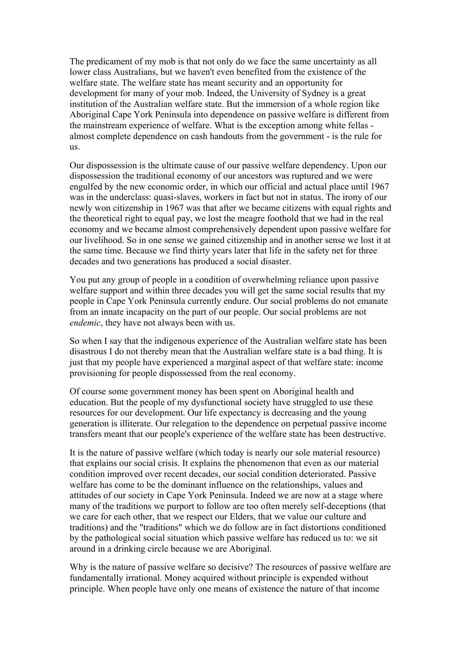The predicament of my mob is that not only do we face the same uncertainty as all lower class Australians, but we haven't even benefited from the existence of the welfare state. The welfare state has meant security and an opportunity for development for many of your mob. Indeed, the University of Sydney is a great institution of the Australian welfare state. But the immersion of a whole region like Aboriginal Cape York Peninsula into dependence on passive welfare is different from the mainstream experience of welfare. What is the exception among white fellas almost complete dependence on cash handouts from the government - is the rule for us.

Our dispossession is the ultimate cause of our passive welfare dependency. Upon our dispossession the traditional economy of our ancestors was ruptured and we were engulfed by the new economic order, in which our official and actual place until 1967 was in the underclass: quasi-slaves, workers in fact but not in status. The irony of our newly won citizenship in 1967 was that after we became citizens with equal rights and the theoretical right to equal pay, we lost the meagre foothold that we had in the real economy and we became almost comprehensively dependent upon passive welfare for our livelihood. So in one sense we gained citizenship and in another sense we lost it at the same time. Because we find thirty years later that life in the safety net for three decades and two generations has produced a social disaster.

You put any group of people in a condition of overwhelming reliance upon passive welfare support and within three decades you will get the same social results that my people in Cape York Peninsula currently endure. Our social problems do not emanate from an innate incapacity on the part of our people. Our social problems are not *endemic*, they have not always been with us.

So when I say that the indigenous experience of the Australian welfare state has been disastrous I do not thereby mean that the Australian welfare state is a bad thing. It is just that my people have experienced a marginal aspect of that welfare state: income provisioning for people dispossessed from the real economy.

Of course some government money has been spent on Aboriginal health and education. But the people of my dysfunctional society have struggled to use these resources for our development. Our life expectancy is decreasing and the young generation is illiterate. Our relegation to the dependence on perpetual passive income transfers meant that our people's experience of the welfare state has been destructive.

It is the nature of passive welfare (which today is nearly our sole material resource) that explains our social crisis. It explains the phenomenon that even as our material condition improved over recent decades, our social condition deteriorated. Passive welfare has come to be the dominant influence on the relationships, values and attitudes of our society in Cape York Peninsula. Indeed we are now at a stage where many of the traditions we purport to follow are too often merely self-deceptions (that we care for each other, that we respect our Elders, that we value our culture and traditions) and the "traditions" which we do follow are in fact distortions conditioned by the pathological social situation which passive welfare has reduced us to: we sit around in a drinking circle because we are Aboriginal.

Why is the nature of passive welfare so decisive? The resources of passive welfare are fundamentally irrational. Money acquired without principle is expended without principle. When people have only one means of existence the nature of that income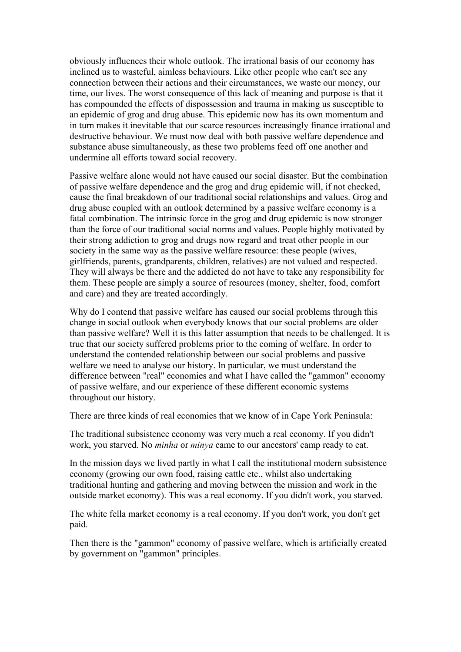obviously influences their whole outlook. The irrational basis of our economy has inclined us to wasteful, aimless behaviours. Like other people who can't see any connection between their actions and their circumstances, we waste our money, our time, our lives. The worst consequence of this lack of meaning and purpose is that it has compounded the effects of dispossession and trauma in making us susceptible to an epidemic of grog and drug abuse. This epidemic now has its own momentum and in turn makes it inevitable that our scarce resources increasingly finance irrational and destructive behaviour. We must now deal with both passive welfare dependence and substance abuse simultaneously, as these two problems feed off one another and undermine all efforts toward social recovery.

Passive welfare alone would not have caused our social disaster. But the combination of passive welfare dependence and the grog and drug epidemic will, if not checked, cause the final breakdown of our traditional social relationships and values. Grog and drug abuse coupled with an outlook determined by a passive welfare economy is a fatal combination. The intrinsic force in the grog and drug epidemic is now stronger than the force of our traditional social norms and values. People highly motivated by their strong addiction to grog and drugs now regard and treat other people in our society in the same way as the passive welfare resource: these people (wives, girlfriends, parents, grandparents, children, relatives) are not valued and respected. They will always be there and the addicted do not have to take any responsibility for them. These people are simply a source of resources (money, shelter, food, comfort and care) and they are treated accordingly.

Why do I contend that passive welfare has caused our social problems through this change in social outlook when everybody knows that our social problems are older than passive welfare? Well it is this latter assumption that needs to be challenged. It is true that our society suffered problems prior to the coming of welfare. In order to understand the contended relationship between our social problems and passive welfare we need to analyse our history. In particular, we must understand the difference between "real" economies and what I have called the "gammon" economy of passive welfare, and our experience of these different economic systems throughout our history.

There are three kinds of real economies that we know of in Cape York Peninsula:

The traditional subsistence economy was very much a real economy. If you didn't work, you starved. No *minha* or *minya* came to our ancestors' camp ready to eat.

In the mission days we lived partly in what I call the institutional modern subsistence economy (growing our own food, raising cattle etc., whilst also undertaking traditional hunting and gathering and moving between the mission and work in the outside market economy). This was a real economy. If you didn't work, you starved.

The white fella market economy is a real economy. If you don't work, you don't get paid.

Then there is the "gammon" economy of passive welfare, which is artificially created by government on "gammon" principles.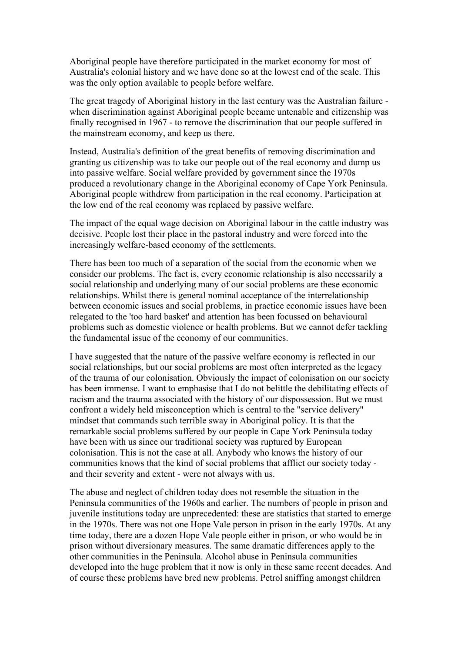Aboriginal people have therefore participated in the market economy for most of Australia's colonial history and we have done so at the lowest end of the scale. This was the only option available to people before welfare.

The great tragedy of Aboriginal history in the last century was the Australian failure when discrimination against Aboriginal people became untenable and citizenship was finally recognised in 1967 - to remove the discrimination that our people suffered in the mainstream economy, and keep us there.

Instead, Australia's definition of the great benefits of removing discrimination and granting us citizenship was to take our people out of the real economy and dump us into passive welfare. Social welfare provided by government since the 1970s produced a revolutionary change in the Aboriginal economy of Cape York Peninsula. Aboriginal people withdrew from participation in the real economy. Participation at the low end of the real economy was replaced by passive welfare.

The impact of the equal wage decision on Aboriginal labour in the cattle industry was decisive. People lost their place in the pastoral industry and were forced into the increasingly welfare-based economy of the settlements.

There has been too much of a separation of the social from the economic when we consider our problems. The fact is, every economic relationship is also necessarily a social relationship and underlying many of our social problems are these economic relationships. Whilst there is general nominal acceptance of the interrelationship between economic issues and social problems, in practice economic issues have been relegated to the 'too hard basket' and attention has been focussed on behavioural problems such as domestic violence or health problems. But we cannot defer tackling the fundamental issue of the economy of our communities.

I have suggested that the nature of the passive welfare economy is reflected in our social relationships, but our social problems are most often interpreted as the legacy of the trauma of our colonisation. Obviously the impact of colonisation on our society has been immense. I want to emphasise that I do not belittle the debilitating effects of racism and the trauma associated with the history of our dispossession. But we must confront a widely held misconception which is central to the "service delivery" mindset that commands such terrible sway in Aboriginal policy. It is that the remarkable social problems suffered by our people in Cape York Peninsula today have been with us since our traditional society was ruptured by European colonisation. This is not the case at all. Anybody who knows the history of our communities knows that the kind of social problems that afflict our society today and their severity and extent - were not always with us.

The abuse and neglect of children today does not resemble the situation in the Peninsula communities of the 1960s and earlier. The numbers of people in prison and juvenile institutions today are unprecedented: these are statistics that started to emerge in the 1970s. There was not one Hope Vale person in prison in the early 1970s. At any time today, there are a dozen Hope Vale people either in prison, or who would be in prison without diversionary measures. The same dramatic differences apply to the other communities in the Peninsula. Alcohol abuse in Peninsula communities developed into the huge problem that it now is only in these same recent decades. And of course these problems have bred new problems. Petrol sniffing amongst children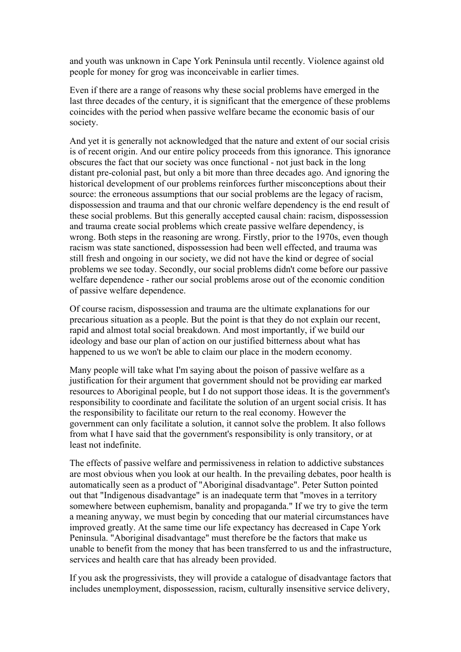and youth was unknown in Cape York Peninsula until recently. Violence against old people for money for grog was inconceivable in earlier times.

Even if there are a range of reasons why these social problems have emerged in the last three decades of the century, it is significant that the emergence of these problems coincides with the period when passive welfare became the economic basis of our society.

And yet it is generally not acknowledged that the nature and extent of our social crisis is of recent origin. And our entire policy proceeds from this ignorance. This ignorance obscures the fact that our society was once functional - not just back in the long distant pre-colonial past, but only a bit more than three decades ago. And ignoring the historical development of our problems reinforces further misconceptions about their source: the erroneous assumptions that our social problems are the legacy of racism, dispossession and trauma and that our chronic welfare dependency is the end result of these social problems. But this generally accepted causal chain: racism, dispossession and trauma create social problems which create passive welfare dependency, is wrong. Both steps in the reasoning are wrong. Firstly, prior to the 1970s, even though racism was state sanctioned, dispossession had been well effected, and trauma was still fresh and ongoing in our society, we did not have the kind or degree of social problems we see today. Secondly, our social problems didn't come before our passive welfare dependence - rather our social problems arose out of the economic condition of passive welfare dependence.

Of course racism, dispossession and trauma are the ultimate explanations for our precarious situation as a people. But the point is that they do not explain our recent, rapid and almost total social breakdown. And most importantly, if we build our ideology and base our plan of action on our justified bitterness about what has happened to us we won't be able to claim our place in the modern economy.

Many people will take what I'm saying about the poison of passive welfare as a justification for their argument that government should not be providing ear marked resources to Aboriginal people, but I do not support those ideas. It is the government's responsibility to coordinate and facilitate the solution of an urgent social crisis. It has the responsibility to facilitate our return to the real economy. However the government can only facilitate a solution, it cannot solve the problem. It also follows from what I have said that the government's responsibility is only transitory, or at least not indefinite.

The effects of passive welfare and permissiveness in relation to addictive substances are most obvious when you look at our health. In the prevailing debates, poor health is automatically seen as a product of "Aboriginal disadvantage". Peter Sutton pointed out that "Indigenous disadvantage" is an inadequate term that "moves in a territory somewhere between euphemism, banality and propaganda." If we try to give the term a meaning anyway, we must begin by conceding that our material circumstances have improved greatly. At the same time our life expectancy has decreased in Cape York Peninsula. "Aboriginal disadvantage" must therefore be the factors that make us unable to benefit from the money that has been transferred to us and the infrastructure, services and health care that has already been provided.

If you ask the progressivists, they will provide a catalogue of disadvantage factors that includes unemployment, dispossession, racism, culturally insensitive service delivery,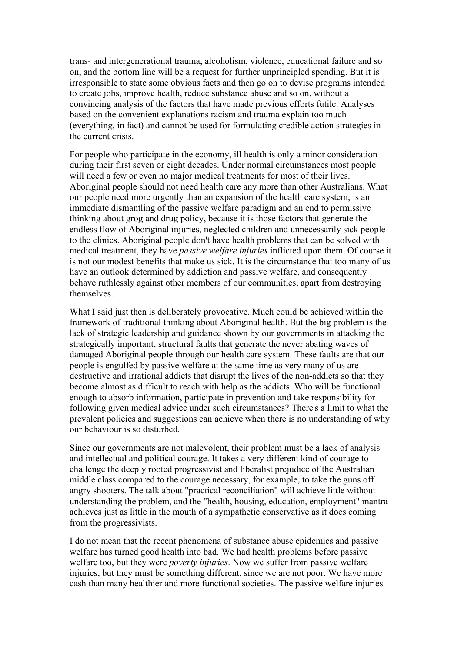trans- and intergenerational trauma, alcoholism, violence, educational failure and so on, and the bottom line will be a request for further unprincipled spending. But it is irresponsible to state some obvious facts and then go on to devise programs intended to create jobs, improve health, reduce substance abuse and so on, without a convincing analysis of the factors that have made previous efforts futile. Analyses based on the convenient explanations racism and trauma explain too much (everything, in fact) and cannot be used for formulating credible action strategies in the current crisis.

For people who participate in the economy, ill health is only a minor consideration during their first seven or eight decades. Under normal circumstances most people will need a few or even no major medical treatments for most of their lives. Aboriginal people should not need health care any more than other Australians. What our people need more urgently than an expansion of the health care system, is an immediate dismantling of the passive welfare paradigm and an end to permissive thinking about grog and drug policy, because it is those factors that generate the endless flow of Aboriginal injuries, neglected children and unnecessarily sick people to the clinics. Aboriginal people don't have health problems that can be solved with medical treatment, they have *passive welfare injuries* inflicted upon them. Of course it is not our modest benefits that make us sick. It is the circumstance that too many of us have an outlook determined by addiction and passive welfare, and consequently behave ruthlessly against other members of our communities, apart from destroying themselves.

What I said just then is deliberately provocative. Much could be achieved within the framework of traditional thinking about Aboriginal health. But the big problem is the lack of strategic leadership and guidance shown by our governments in attacking the strategically important, structural faults that generate the never abating waves of damaged Aboriginal people through our health care system. These faults are that our people is engulfed by passive welfare at the same time as very many of us are destructive and irrational addicts that disrupt the lives of the non-addicts so that they become almost as difficult to reach with help as the addicts. Who will be functional enough to absorb information, participate in prevention and take responsibility for following given medical advice under such circumstances? There's a limit to what the prevalent policies and suggestions can achieve when there is no understanding of why our behaviour is so disturbed.

Since our governments are not malevolent, their problem must be a lack of analysis and intellectual and political courage. It takes a very different kind of courage to challenge the deeply rooted progressivist and liberalist prejudice of the Australian middle class compared to the courage necessary, for example, to take the guns off angry shooters. The talk about "practical reconciliation" will achieve little without understanding the problem, and the "health, housing, education, employment" mantra achieves just as little in the mouth of a sympathetic conservative as it does coming from the progressivists.

I do not mean that the recent phenomena of substance abuse epidemics and passive welfare has turned good health into bad. We had health problems before passive welfare too, but they were *poverty injuries*. Now we suffer from passive welfare injuries, but they must be something different, since we are not poor. We have more cash than many healthier and more functional societies. The passive welfare injuries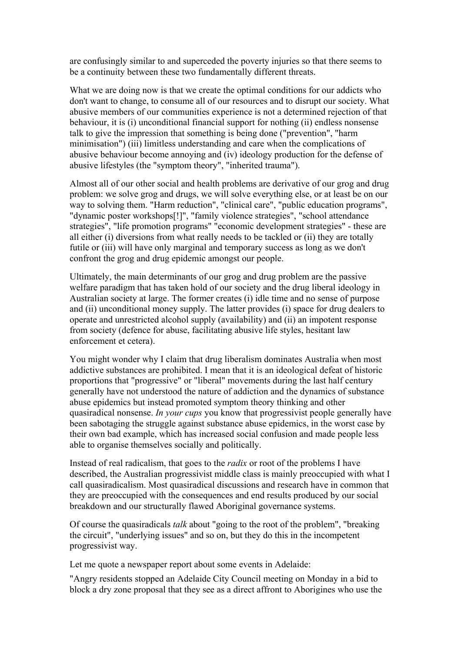are confusingly similar to and superceded the poverty injuries so that there seems to be a continuity between these two fundamentally different threats.

What we are doing now is that we create the optimal conditions for our addicts who don't want to change, to consume all of our resources and to disrupt our society. What abusive members of our communities experience is not a determined rejection of that behaviour, it is (i) unconditional financial support for nothing (ii) endless nonsense talk to give the impression that something is being done ("prevention", "harm minimisation") (iii) limitless understanding and care when the complications of abusive behaviour become annoying and (iv) ideology production for the defense of abusive lifestyles (the "symptom theory", "inherited trauma").

Almost all of our other social and health problems are derivative of our grog and drug problem: we solve grog and drugs, we will solve everything else, or at least be on our way to solving them. "Harm reduction", "clinical care", "public education programs", "dynamic poster workshops[!]", "family violence strategies", "school attendance strategies", "life promotion programs" "economic development strategies" - these are all either (i) diversions from what really needs to be tackled or (ii) they are totally futile or (iii) will have only marginal and temporary success as long as we don't confront the grog and drug epidemic amongst our people.

Ultimately, the main determinants of our grog and drug problem are the passive welfare paradigm that has taken hold of our society and the drug liberal ideology in Australian society at large. The former creates (i) idle time and no sense of purpose and (ii) unconditional money supply. The latter provides (i) space for drug dealers to operate and unrestricted alcohol supply (availability) and (ii) an impotent response from society (defence for abuse, facilitating abusive life styles, hesitant law enforcement et cetera).

You might wonder why I claim that drug liberalism dominates Australia when most addictive substances are prohibited. I mean that it is an ideological defeat of historic proportions that "progressive" or "liberal" movements during the last half century generally have not understood the nature of addiction and the dynamics of substance abuse epidemics but instead promoted symptom theory thinking and other quasiradical nonsense. *In your cups* you know that progressivist people generally have been sabotaging the struggle against substance abuse epidemics, in the worst case by their own bad example, which has increased social confusion and made people less able to organise themselves socially and politically.

Instead of real radicalism, that goes to the *radix* or root of the problems I have described, the Australian progressivist middle class is mainly preoccupied with what I call quasiradicalism. Most quasiradical discussions and research have in common that they are preoccupied with the consequences and end results produced by our social breakdown and our structurally flawed Aboriginal governance systems.

Of course the quasiradicals *talk* about "going to the root of the problem", "breaking the circuit", "underlying issues" and so on, but they do this in the incompetent progressivist way.

Let me quote a newspaper report about some events in Adelaide:

"Angry residents stopped an Adelaide City Council meeting on Monday in a bid to block a dry zone proposal that they see as a direct affront to Aborigines who use the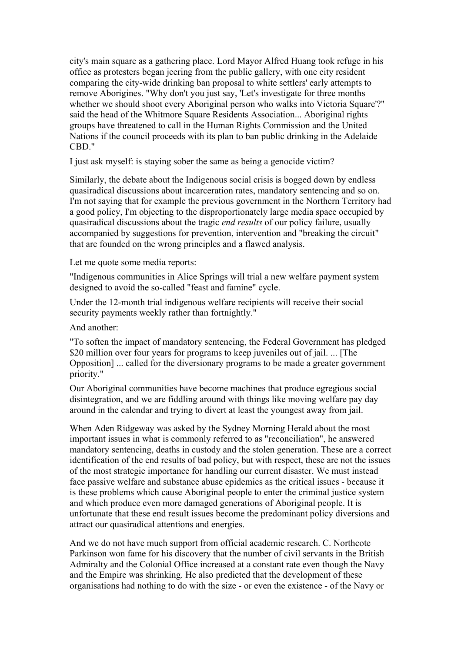city's main square as a gathering place. Lord Mayor Alfred Huang took refuge in his office as protesters began jeering from the public gallery, with one city resident comparing the city-wide drinking ban proposal to white settlers' early attempts to remove Aborigines. "Why don't you just say, 'Let's investigate for three months whether we should shoot every Aboriginal person who walks into Victoria Square'?" said the head of the Whitmore Square Residents Association... Aboriginal rights groups have threatened to call in the Human Rights Commission and the United Nations if the council proceeds with its plan to ban public drinking in the Adelaide CBD."

I just ask myself: is staying sober the same as being a genocide victim?

Similarly, the debate about the Indigenous social crisis is bogged down by endless quasiradical discussions about incarceration rates, mandatory sentencing and so on. I'm not saying that for example the previous government in the Northern Territory had a good policy, I'm objecting to the disproportionately large media space occupied by quasiradical discussions about the tragic *end results* of our policy failure, usually accompanied by suggestions for prevention, intervention and "breaking the circuit" that are founded on the wrong principles and a flawed analysis.

Let me quote some media reports:

"Indigenous communities in Alice Springs will trial a new welfare payment system designed to avoid the so-called "feast and famine" cycle.

Under the 12-month trial indigenous welfare recipients will receive their social security payments weekly rather than fortnightly."

And another:

"To soften the impact of mandatory sentencing, the Federal Government has pledged \$20 million over four years for programs to keep juveniles out of jail. ... [The Opposition] ... called for the diversionary programs to be made a greater government priority."

Our Aboriginal communities have become machines that produce egregious social disintegration, and we are fiddling around with things like moving welfare pay day around in the calendar and trying to divert at least the youngest away from jail.

When Aden Ridgeway was asked by the Sydney Morning Herald about the most important issues in what is commonly referred to as "reconciliation", he answered mandatory sentencing, deaths in custody and the stolen generation. These are a correct identification of the end results of bad policy, but with respect, these are not the issues of the most strategic importance for handling our current disaster. We must instead face passive welfare and substance abuse epidemics as the critical issues - because it is these problems which cause Aboriginal people to enter the criminal justice system and which produce even more damaged generations of Aboriginal people. It is unfortunate that these end result issues become the predominant policy diversions and attract our quasiradical attentions and energies.

And we do not have much support from official academic research. C. Northcote Parkinson won fame for his discovery that the number of civil servants in the British Admiralty and the Colonial Office increased at a constant rate even though the Navy and the Empire was shrinking. He also predicted that the development of these organisations had nothing to do with the size - or even the existence - of the Navy or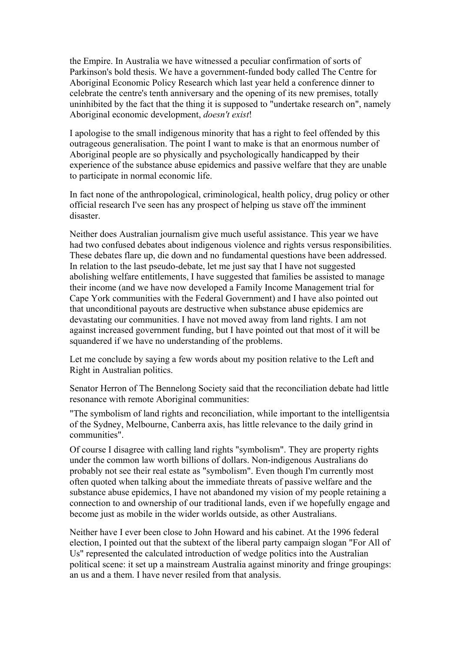the Empire. In Australia we have witnessed a peculiar confirmation of sorts of Parkinson's bold thesis. We have a government-funded body called The Centre for Aboriginal Economic Policy Research which last year held a conference dinner to celebrate the centre's tenth anniversary and the opening of its new premises, totally uninhibited by the fact that the thing it is supposed to "undertake research on", namely Aboriginal economic development, *doesn't exist*!

I apologise to the small indigenous minority that has a right to feel offended by this outrageous generalisation. The point I want to make is that an enormous number of Aboriginal people are so physically and psychologically handicapped by their experience of the substance abuse epidemics and passive welfare that they are unable to participate in normal economic life.

In fact none of the anthropological, criminological, health policy, drug policy or other official research I've seen has any prospect of helping us stave off the imminent disaster.

Neither does Australian journalism give much useful assistance. This year we have had two confused debates about indigenous violence and rights versus responsibilities. These debates flare up, die down and no fundamental questions have been addressed. In relation to the last pseudo-debate, let me just say that I have not suggested abolishing welfare entitlements, I have suggested that families be assisted to manage their income (and we have now developed a Family Income Management trial for Cape York communities with the Federal Government) and I have also pointed out that unconditional payouts are destructive when substance abuse epidemics are devastating our communities. I have not moved away from land rights. I am not against increased government funding, but I have pointed out that most of it will be squandered if we have no understanding of the problems.

Let me conclude by saying a few words about my position relative to the Left and Right in Australian politics.

Senator Herron of The Bennelong Society said that the reconciliation debate had little resonance with remote Aboriginal communities:

"The symbolism of land rights and reconciliation, while important to the intelligentsia of the Sydney, Melbourne, Canberra axis, has little relevance to the daily grind in communities".

Of course I disagree with calling land rights "symbolism". They are property rights under the common law worth billions of dollars. Non-indigenous Australians do probably not see their real estate as "symbolism". Even though I'm currently most often quoted when talking about the immediate threats of passive welfare and the substance abuse epidemics, I have not abandoned my vision of my people retaining a connection to and ownership of our traditional lands, even if we hopefully engage and become just as mobile in the wider worlds outside, as other Australians.

Neither have I ever been close to John Howard and his cabinet. At the 1996 federal election, I pointed out that the subtext of the liberal party campaign slogan "For All of Us" represented the calculated introduction of wedge politics into the Australian political scene: it set up a mainstream Australia against minority and fringe groupings: an us and a them. I have never resiled from that analysis.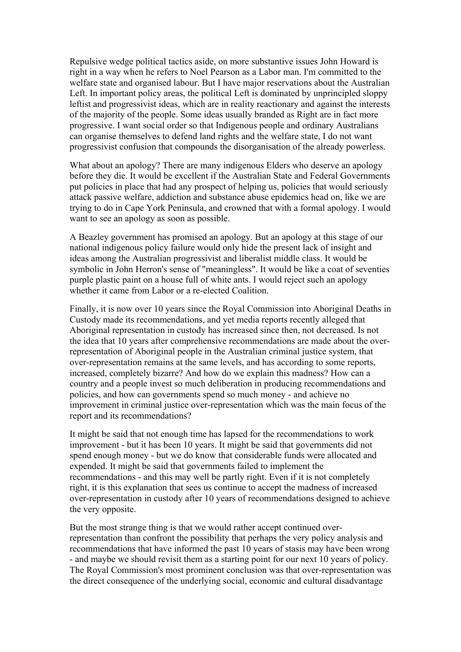Repulsive wedge political tactics aside, on more substantive issues John Howard is right in a way when he refers to Noel Pearson as a Labor man. I'm committed to the welfare state and organised labour. But I have major reservations about the Australian Left. In important policy areas, the political Left is dominated by unprincipled sloppy leftist and progressivist ideas, which are in reality reactionary and against the interests of the majority of the people. Some ideas usually branded as Right are in fact more progressive. I want social order so that Indigenous people and ordinary Australians can organise themselves to defend land rights and the welfare state, I do not want progressivist confusion that compounds the disorganisation of the already powerless.

What about an apology? There are many indigenous Elders who deserve an apology before they die. It would be excellent if the Australian State and Federal Governments put policies in place that had any prospect of helping us, policies that would seriously attack passive welfare, addiction and substance abuse epidemics head on, like we are trying to do in Cape York Peninsula, and crowned that with a formal apology. I would want to see an apology as soon as possible.

A Beazley government has promised an apology. But an apology at this stage of our national indigenous policy failure would only hide the present lack of insight and ideas among the Australian progressivist and liberalist middle class. It would be symbolic in John Herron's sense of "meaningless". It would be like a coat of seventies purple plastic paint on a house full of white ants. I would reject such an apology whether it came from Labor or a re-elected Coalition.

Finally, it is now over 10 years since the Royal Commission into Aboriginal Deaths in Custody made its recommendations, and yet media reports recently alleged that Aboriginal representation in custody has increased since then, not decreased. Is not the idea that 10 years after comprehensive recommendations are made about the overrepresentation of Aboriginal people in the Australian criminal justice system, that over-representation remains at the same levels, and has according to some reports, increased, completely bizarre? And how do we explain this madness? How can a country and a people invest so much deliberation in producing recommendations and policies, and how can governments spend so much money - and achieve no improvement in criminal justice over-representation which was the main focus of the report and its recommendations?

It might be said that not enough time has lapsed for the recommendations to work improvement - but it has been 10 years. It might be said that governments did not spend enough money - but we do know that considerable funds were allocated and expended. It might be said that governments failed to implement the recommendations - and this may well be partly right. Even if it is not completely right, it is this explanation that sees us continue to accept the madness of increased over-representation in custody after 10 years of recommendations designed to achieve the very opposite.

But the most strange thing is that we would rather accept continued overrepresentation than confront the possibility that perhaps the very policy analysis and recommendations that have informed the past 10 years of stasis may have been wrong - and maybe we should revisit them as a starting point for our next 10 years of policy. The Royal Commission's most prominent conclusion was that over-representation was the direct consequence of the underlying social, economic and cultural disadvantage